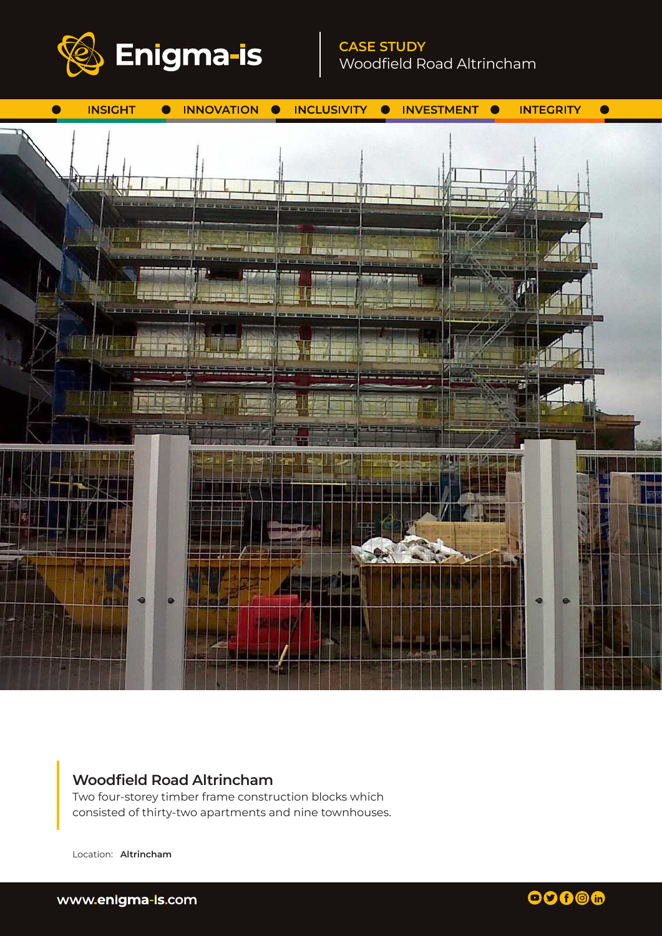

# **CASE STUDY** Woodfield Road Altrincham



## **Woodfield Road Altrincham**

Two four-storey timber frame construction blocks which consisted of thirty-two apartments and nine townhouses.

Location: **Altrincham**